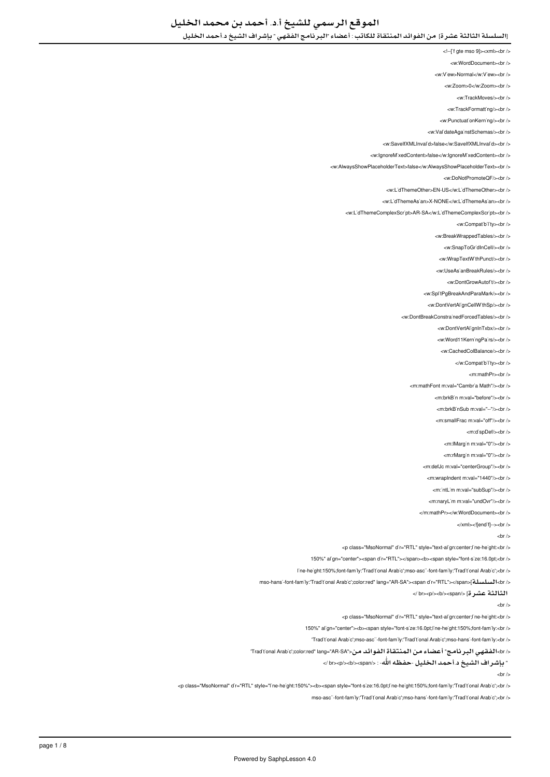<!--['f gte mso 9]><xml><br/>>br />

<w:WordDocument><br />

<w:V'ew>Normal</w:V'ew><br/></w

<w:Zoom>0</w:Zoom><br/><br/>

<w:TrackMoves/><br/><br/>

<w:TrackFormatting/>

<w PunctuationKerning/><br />

<w:ValidateAgainstSchemas/><br/>

<w:SaveIfXMLInvalid>false</w:SaveIfXMLInvalid><br/></w </

<w:lgnoreMixedContent>false</w:lgnoreMixedContent><br />

<w:AlwaysShowPlaceholderText>false</w:AlwaysShowPlaceholderText><br/><br/>

<w:DoNotPromoteOF/s<br /s

<w:L'dThemeOther>EN-US</w:L'dThemeOther><br />

</ br><LidThemeAsian:w/<NONE-X>LidThemeAsian:w <

<w:L'dThemeComplexScr'pt>AR-SA</w:L'dThemeComplexScr'pt><br />

<w:Compatibility><br/><br/>

<w:BreakWrappedTables/><br/><br/>>/>

<w:SnapToGr'dInCell/><br/> />

<w:WrapTextWithPunct/><br/><br/>

</ br></UseAsianBreakRules:w <

<w:DontGrowAutof<sub>t</sub>/>t/><br/></br

<w:SplitPgBreakAndParaMark/><br />

<w:DontVertAl'gnCellW'thSp/><br />

<w:DontBreakConstrainedForcedTables/><br />

<w:DontVertAlignInTxbx/><br/>

<w:Word11KerningPairs/><br/></br>

<w:CachedColBalance/s<hr /s

</w:Compatibility><br/></w

<m:mathPr><hr />

<m:mathFont m:val="Cambr'a Math"/><br />

<m:hrkBin.m:val="before"/s<hr /s

<m:brkBinSub m:val="--"/><br />

<m:smallFrac m:val="off"/><br/>>br</>

<m:dispDef/s<br/></m

<m:lMargin m:val="0"/><br/>>> </

<m:rMargin m:val="0"/><br/>>br />

<m:defJc m:val="centerGroup"/><br />

<m:wrapIndent m:val="1440"/><br/><ht>

<m:'ntL'm m:val="subSup"/><br />

<m:naryLim m:yal="undOvr"/s<hr /s

</m:mathPr></w:WordDocument><br/></

</xml><![endifi--><br/><br/>>

 $chr/s$ 

<p class="MsoNormal" d'r="RTL" style="text-align:center;line-height:<br />

150%" al'gn="center"><span d'r="RTL"></span><b><span style="font-s'ze:16.0pt;<br/>cbr />

l'ne-he'ght:150%;font-fam'ly:'Traditional Arabic';mso-ascii-font-family:'Traditional Arabic';<br/>chi

</red" lang="AR-SA"><span d'r="RTL"></span>[تسلسلة]<br/>tolor/>color:red:" lang="AR-SA"><span d'r="RTL"></span>

الثالثة عشرة] </span></b></p><br /<

 $-$ hr  $\sim$ 

<p class="MsoNormal" d'r="RTL" style="text-al'gn:center;l'ne-he'ght:<br />

150%" al'gn="center"><b><span style="font-s'ze:16.0pt;l'ne-he'ght:150%;font-fam'ly:<br/>cbr />

- 'Traditional Arabic';mso-ascii-font-family:'Traditional Arabic';mso-hansi-font-family:<br/>-brition

</ br>الفقهي البرنامج" أعضاء من المنتقاة الفوائد من<"Rad'tonal Arab'c';color:red" lang="AR-SA

" بإشراف الشيخ د.أحمد الخليل -حفظه االله- : </span></b></p><br /<

 $chr/s$ 

<p class="MsoNormal" d'r="RTL" style="l'ne-he'ght:150%"><b><span style="font-s'ze:16.0pt;l'ne-he'ght:150%;font-family:'Trad't'onal Arab'c';<br />

mso-ascii-font-family:'Traditional Arabic':mso-hansi-font-family:'Traditional Arabic':<br/>chr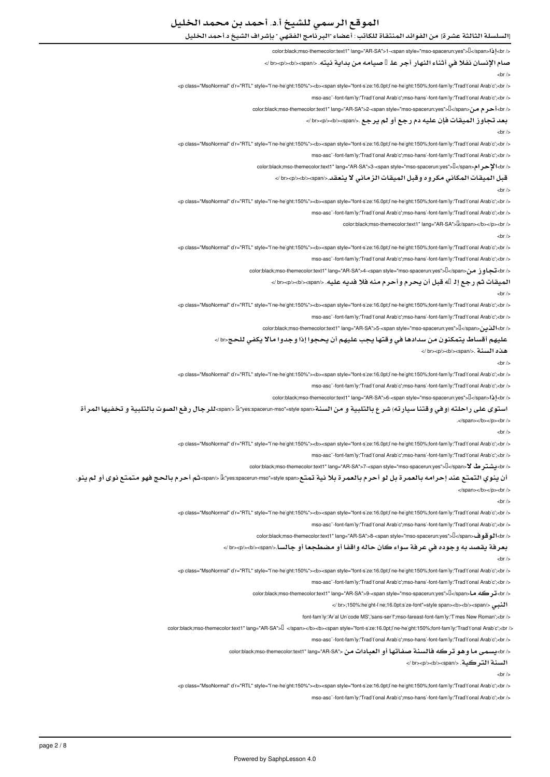# الموقع الرسمي للشيخ أ.د. أحمد بن محمد الخليل

# [السلسلة الثالثة عشرة] من الفوائد المنتقاة للكاتب : أعضاء "البرنامج الفقهي " بإشراف الشيخ د.أحمد الخليل

#### </ color:black;mso-themecolor:text1" lang="AR-SA">1-<span style="mso-spacerun:yes">I</span>I

صام الإنسان نفلا في أثناء النهار أجر عل<sup>1</sup> صيامه من بداية نيته. </br><br>>>>>> />

#### $-$ hr  $\sim$

<p class="MsoNormal" d'r="RTL" style="ine-he'ght:150%"><b><span style="font-s'ze:16.0pt;l'ne-he'ght:150%;font-family:'Trad't'onal Arab'c';<br />

mso-asc"-font-family:'Traditional Arabic':mso-hansi-font-family:'Traditional Arabic':<br/>br

color:black:mso-themecolor:text1" lang="AR-SA">2-<span\_style="mso-spacerun:yes">[</span

# بعد تجاوز الميقات فإن عليه دم رجع أو لم يرجع .</span></b></p><br /<

 $\text{ch}$  /

<n class="MsoNormal" d'r="RTL" style="ine-height:150%"><h><span\_style="font-size:16.0pt:line-height:150%;font-family:"Traditional Arabic':<hr />

mso-asc"-font-fam'ly:'Trad't'onal Arab'c':mso-hans'-font-fam'ly:'Trad't'onal Arab'c':<br />

</ color:black:mso-themecolor:text1" lang="AR-SA">3-<span style="mso-spacerun:yes">I</span>2

#### قبل الميقات المكاني مكروه وقبل الميقات الزماني لا ينعقد.</span></b></p><br /<

 $chr/$ 

<p class="MsoNormal" d'r="RTL" style="l'ne-he ght:150%"><b><span style="font-s'ze:16.0pt;l'ne-he ght:150%;font-family:'Trad't'onal Arab'c';<br />

mso-ascii-font-family:'Traditional Arabic':mso-hansi-font-family:'Traditional Arabic':<br/>chr

color:black:mso-themecolor:text1" lang="AR-SA">[k/span></b></p></p>

 $\text{ch}$  /

<p class="MsoNormal" d'r="RTL" style="l'ne-he ght:150%"><b><span style="font-s'ze:16.0pt;l'ne-he ght:150%;font-family:'Trad't onal Arab'c';<br />

mso-asc"-font-family:'Traditional Arabic':mso-hansi-font-family:'Traditional Arabic':<br />

</ color:black;mso-themecolor:text1" lang="AR-SA">4-<span style="mso-spacerun:yes">[|</span>قجاوز من</span>

## الميقات ثم رجع إل<sub>ـ</sub> لله قبل أن يحرم وأحرم منه فلا فديه عليه. </br><br>>>>><br>

 $-$ hr  $\sim$ 

<p class="MsoNormal" d'r="RTL" style="l'ne-he'ght:150%"><b><span style="font-s'ze:16.0pt;l'ne-he'ght:150%;font-family:'Trad't'onal Arab'c';<br />

mso-asc"-font-fam'ly:'Trad't'onal Arab'c':mso-hans'-font-fam'ly:'Trad't'onal Arab'c':<br />

</ color:black;mso-themecolor:text1" lang="AR-SA">5-<span style="mso-spacerun:yes">[]</span> 1</span

# عليهم أقساط يتمكنون من سدادها في وقتها يجب عليهم أن يحجوا إذا وجدوا مالا يكفي للحج<br /<

#### هذه السنة .</span></b></p><br /<

 $-br /<sub>></sub>$ 

</ br';<Arabic Traditional':family-font;:150%height-line;pt:16.0size-font="style span><b"><:150%height-line="style" RTL="dir" MsoNormal="class p <

mso-asc"-font-family:'Traditional Arabic';mso-hansi-font-family:'Traditional Arabic';<br />

color:black:mso-themecolor:text1" lang="AR-SA">6-<span\_style="mso-spacerun:yes">[[</span>[1]<br/>chr

## استوى على راحلته (وفي وقتنا سيارته) شرع بالتلبية و من السنة<span style"=mso-spacerun:yes<" > /span<للرجال رفع الصوت بالتلبية و تخفيها المرأة

.</span></b></p><br/>>br

 $-hr$  /

</ br';<Arabic Traditional':family-font;:150%height-line;pt:16.0size-font="style span><b"><:150%height-line="style" RTL="dir" MsoNormal="class p <

mso-asc"-font-family:'Traditional Arabic':mso-hansi-font-family:'Traditional Arabic':<br/>br

</ back;mso-themecolor:text1" lang="AR-SA">7-<span style="mso-spacerun:yes">[</pan="**1 x\_{\_\_\_\_\_\_\_\_\_\_** 

## أن ينوي التمتع عند إحرامه بالعمرة بل لو أحرم بالعمرة بلا نية تمتع<span style"=mso-spacerun:yes<" > /span<ثم أحرم بالحج فهو متمتع نوى أو لم ينو.

</span></b></p></p>

 $-$ hr  $\sim$ 

<p class="MsoNormal" d'r="RTL" style="l'ne-he ght:150%"><b><span style="font-s'ze:16.0pt;l'ne-he ght:150%;font-family:'Traditional Arabic';<br />

mso-ascii-font-family:'Traditional Arabic':mso-hansi-font-family:'Traditional Arabic':<br />

</ color:black;mso-themecolor:text1" lang="AR-SA">8-<span style="mso-spacerun:yes">[</span> لوقو ف</span> themecolor:text1

# بعرفة يقصد به وجوده في عرفة سواء كان حاله واقفا أو مضطجعا أو جالسا.</span></b></p><br /<

 $-br /<sub>></sub>$ 

<p class="MsoNormal" d'r="RTL" style="I'ne-he ght:150%"><b><span style="font-s'ze:16.0pt;l'ne-he ght:150%;font-fam'ly:'Trad't'onal Arab'c';<br/>>r/>

mso-asc"-font-family:'Traditional Arabic':mso-hansi-font-family:'Traditional Arabic':<br />

</ color:black;mso-themecolor:text1" lang="AR-SA">9-<span style="mso-spacerun:yes">[]</span> ما</res

النبي </br>>>span style="font"=style span><br/>>>>>span style="font"=style" = height-line;" and being discussion

font-family:'Arial Unicode MS','sans-serif:mso-fareast-font-family:'Times New Roman':<br/>cbr />

color:black;mso-themecolor:text1" lang="AR-SA"> $\Box$  </span></b><br/>span style="font-s'ze:16.0pt;l'ne-he ght:150%;font-fam'ly:'Trad't'onal Arab'c';<br/>cbr />

mso-asc"-font-fam'ly:'Trad't'onal Arab'c';mso-hans'-font-fam'ly:'Trad't'onal Arab'c';<br />

</ br>يسمى ما وهو تركه فالسنة صفاتها أو العبادات من <"color:black;mso-themecolor:text1" lang="AR-SA

السنة التركية. </span></b></p><br /<

 $chr/s$ 

<p class="MsoNormal" d'r="RTL" style="l'ne-he'ght:150%"><b><span style="font-s'ze:16.0pt;l'ne-he'ght:150%;font-family:'Trad't'onal Arab'c';<br />

mso-ascii-font-family:'Traditional Arabic':mso-hansi-font-family:'Traditional Arabic':<br/>chr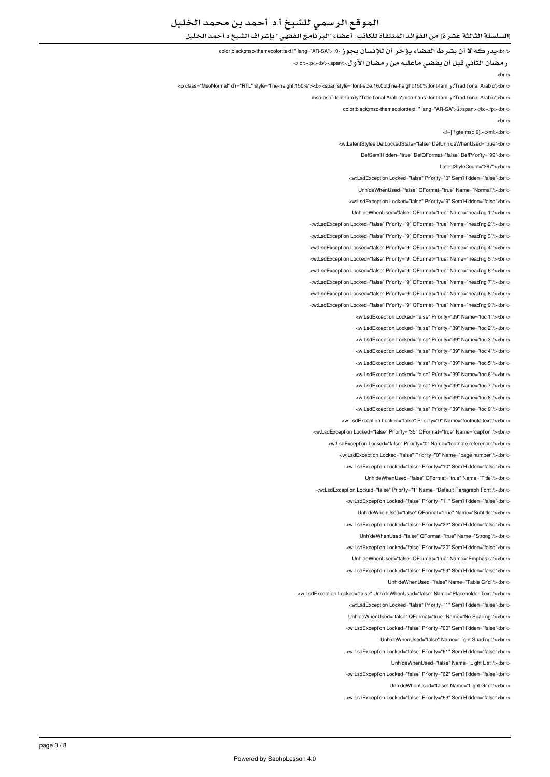# الموقع الرسمي للشيخ أ.د. أحمد بن محمد الخليل

# [السلسلة الثالثة عشرة] من الفوائد المنتقاة للكاتب : أعضاء "البرنامج الفقهي " بإشراف الشيخ د.أحمد الخليل

</br>يدركه لا أن بشرط القضاء يؤخر أن للإنسان يجوز -10<"hang="AR-SA" lang="AR-SA" 10. توفض أن الإنسان

رمضان الثاني قبل أن يقضي ماعليه من رمضان الأول.</span></b></p><br /<

 $-$ hr  $\sim$ 

<p class="MsoNormal" d'r="RTL" style="ine-he'ght:150%"><b><span style="font-s'ze:16.0pt;l'ne-he'ght:150%;font-family:'Trad't'onal Arab'c';<br />

mso-asc"-font-family:'Traditional Arabic ':mso-hansi-font-family:'Traditional Arabic ':< br />

color:black:mso-themecolor:text1" lang="AR-SA">[k/span></b></p><br/>soft/>

 $-$ hr  $\sim$ 

<!--['f gte mso 9]><xml><br/>>br />

<w:LatentStyles DefLockedState="false" DefLinhideWhenLised="true"<hr

DefSem'H'dden="true" DefQFormat="false" DefPr'or'ty="99"<br />

LatentStyleCount="267"><br />

<w:LsdException Locked="false" Priority="0" SemiHidden="false"<br/>>ht/>

UnhideWhenUsed="false" QFormat="true" Name="Normal"/><br />

<w:LsdException Locked="false" Priority="9" SemiHidden="false"<br/>>htion:

Unh'deWhenUsed="false" QFormat="true" Name="heading 1"/><br />

<w:LsdException Locked="false" Priority="9" QFormat="true" Name="heading 2"/><br />

<w:LsdException Locked="false" Priority="9" QFormat="true" Name="heading 3"/><br />

<w:LsdException Locked="false" Priority="9" QFormat="true" Name="heading 4"/><br />

<w:LsdException Locked="false" Priority="9" QFormat="true" Name="heading 5"/><br />

</ br></"6 heading="Name" true="QFormat" 9="Priority" false="Locked LsdException:w <

<w:LsdException Locked="false" Priority="9" QFormat="true" Name="heading 7"/><br />

<w:LsdException Locked="false" Priority="9" QFormat="true" Name="heading 8"/><br />

<w:LsdException Locked="false" Priority="9" QFormat="true" Name="heading 9"/><br />

<w:LsdException Locked="false" Priority="39" Name="toc 1"/><br />

<w:LsdException Locked="false" Priority="39" Name="toc 2"/><br />

<w:LsdException Locked="false" Priority="39" Name="toc 3"/><br />

<w:LsdException Locked="false" Priority="39" Name="toc 4"/><br/>>ht/>

<w:LsdException Locked="false" Priority="39" Name="toc 5"/><hr />

<w:LsdException Locked="false" Priority="39" Name="toc 6"/><br />

<w:LsdException Locked="false" Priority="39" Name="toc 7"/><br />

<w:LsdException Locked="false" Priority="39" Name="toc 8"/><hr />

<w:LsdException Locked="false" Priority="39" Name="toc 9"/><br />

<w:LsdException Locked="false" Priority="0" Name="footnote text"/><br />

<w:LsdException Locked="false" Priority="35" QFormat="true" Name="caption"/><br />

<w:LsdException Locked="false" Priority="0" Name="footnote reference"/><br />

<w:LsdException Locked="false" Priority="0" Name="page number"/><br />

<w:LsdExcept'on Locked="false" Pr'or'ty="10" Sem'H'dden="false"<br />

UnhideWhenUsed="false" OFormat="true" Name="Title"/><ht />

<w:LsdException Locked="false" Priority="1" Name="Default Paragraph Font"/><br />

<w:LsdException Locked="false" Priority="11" SemiHidden="false"<hr /s

UnhideWhenUsed="false" OFormat="true" Name="Subtitle"/><br />

<w:LsdException Locked="false" Priority="22" SemiHidden="false"<br />

UnhideWhenUsed="false" QFormat="true" Name="Strong"/><br />

<w:LsdException Locked="false" Priority="20" SemiHidden="false"<br/>chriden

Unh'deWhenUsed="false" QFormat="true" Name="Emphas's"/><br />

<w:LsdException Locked="false" Priority="59" SemiHidden="false"<br/>>ht/>

LinhideWhenUsed="false" Name="Table Grid"/><br />

<w:LsdExcept'on Locked="false" Unh'deWhenUsed="false" Name="Placeholder Text"/><br />

will sdExcention Locked="false" Priority="1" SemiHidden="false">br

Unh'deWhenUsed="false" QFormat="true" Name="No Spac'ng"/><br />

<w:LsdExcept'on Locked="false" Pr'or'ty="60" Sem'H'dden="false"<br />

UnhideWhenUsed="false" Name="Light Shading"/><br />

<w:LsdException Locked="false" Priority="61" SemiHidden="false"<br/>chriden

UnhideWhenUsed="false" Name="Light List"/><br />

<w:LsdException Locked="false" Priority="62" SemiHidden="false"<br/>>ht/>

UnhideWhenUsed="false" Name="Light Grid"/><br />

<w:LsdException Locked="false" Priority="63" SemiHidden="false"<br/>chriden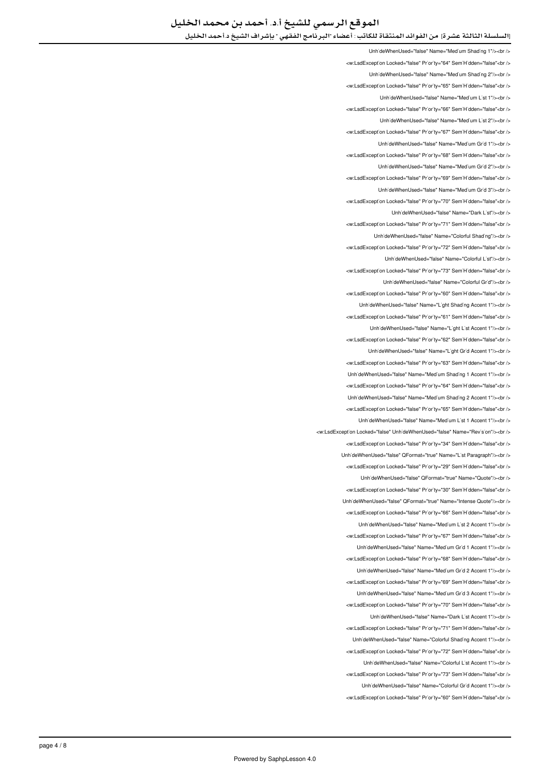Unh'deWhenUsed="false" Name="Med'um Shad'ng 1"/><br /> </w:LsdException Locked="false" Priority="64" SemiHidden="false"<br/>chi UnhideWhenUsed="false" Name="Medium Shading 2"/><br /> <w:LsdException Locked="false" Priority="65" SemiHidden="false"<br/>kor/> UnhideWhenUsed="false" Name="Medium List 1"/><br /> </ br"<false="SemiHidden" 66="Priority" false="Locked LsdException:w < LinhideWhenLised="false" Name="Medium List 2"/schr /s <w:LsdExcept'on Locked="false" Priority="67" SemiHidden="false"<br/>>ht /> </ br></"1 Grid Medium="Name" false="UnhideWhenUsed <w:LsdException Locked="false" Priority="68" SemiHidden="false"<br /> UnhideWhenUsed="false" Name="Medium Grid 2"/><br /> <w:LsdException Locked="false" Priority="69" SemiHidden="false"<br /> UnhideWhenUsed="false" Name="Medium Grid 3"/><br /> <w:LsdExcept'on Locked="false" Pr'or'ty="70" Sem'H'dden="false"<br /> UnhideWhenUsed="false" Name="Dark List"/><br /> <w:LsdException Locked="false" Priority="71" SemiHidden="false"<br/>chriden Unh'deWhenUsed="false" Name="Colorful Shading"/><br /> <w:LsdException Locked="false" Priority="72" SemiHidden="false"<br/>khidden Unh'deWhenUsed="false" Name="Colorful L'st"/><br /> will sdException Locked="false" Priority="73" SemiHidden="false" chr UnhideWhenUsed="false" Name="Colorful Grid"/><br /> <w:LsdException Locked="false" Priority="60" SemiHidden="false"<br/>chriden Unh'deWhenUsed="false" Name="L'ght Shading Accent 1"/><br /> <w:LsdException Locked="false" Priority="61" SemiHidden="false"<br/>chi/> UnhideWhenUsed="false" Name="Light List Accent 1"/><br /> <w:LsdException Locked="false" Priority="62" SemiHidden="false"<br/>>ht/> UnhideWhenUsed="false" Name="Light Grid Accent 1"/><br /> <w:LsdExcept'on Locked="false" Priority="63" Sem'H'dden="false"<br /> UnhideWhenUsed="false" Name="Medium Shading 1 Accent 1"/><ht /> <w:LsdException Locked="false" Priority="64" SemiHidden="false"<br/>>htion: LinhideWhenLised="false" Name="Medium Shading 2 Accent 1"/s<hr /s <w:LsdExcept'on Locked="false" Priority="65" Sem'H'dden="false"<br /> UnhideWhenUsed="false" Name="Medium List 1 Accent 1"/><br /> <w:LsdException Locked="false" LiphideWhenUsed="false" Name="Beyision"/><br /> <w:LsdException Locked="false" Priority="34" SemiHidden="false"<br/>chriden Unh'deWhenUsed="false" QFormat="true" Name="L'st Paragraph"/><br /> <w:LsdExcept'on Locked="false" Priority="29" Sem'H'dden="false"<br /> UnhideWhenUsed="false" QFormat="true" Name="Quote"/><ht /> <w:LsdException Locked="false" Priority="30" SemiHidden="false"<br/>kor/> Linh'deWhenLised="false" QEormat="true" Name="Intense Quote"/><hr /> <w:LsdException Locked="false" Priority="66" SemiHidden="false"<br/>chriden LinhideWhenLised="false" Name="Medium List 2 Accent 1"/schr /s <w:LsdExcept'on Locked="false" Priority="67" Sem'H'dden="false"<br /> UnhideWhenUsed="false" Name="Medium Grid 1 Accent 1"/><ht /> <w:LsdException Locked="false" Priority="68" SemiHidden="false"<br/>cbr/> UnhideWhenUsed="false" Name="Medium Grid 2 Accent 1"/><br /> <w:LsdException Locked="false" Priority="69" SemiHidden="false"<br/>>htion: Unh'deWhenUsed="false" Name="Med'um Gr'd 3 Accent 1"/><br /> will sdException Locked="false" Priority="70" SemiHidden="false">br / Unh'deWhenUsed="false" Name="Dark L'st Accent 1"/><br /> <w:LsdException Locked="false" Priority="71" SemiHidden="false"<br/>>ht> UnhideWhenUsed="false" Name="Colorful Shading Accent 1"/><br /> <w:LsdException Locked="false" Priority="72" SemiHidden="false"<br/>chriden UnhideWhenUsed="false" Name="Colorful List Accent 1"/><br /> <w:LsdException Locked="false" Priority="73" SemiHidden="false"<br/>>ht/> UnhideWhenUsed="false" Name="Colorful Grid Accent 1"/><br /> <w:LsdException Locked="false" Priority="60" SemiHidden="false"<br/>chr/s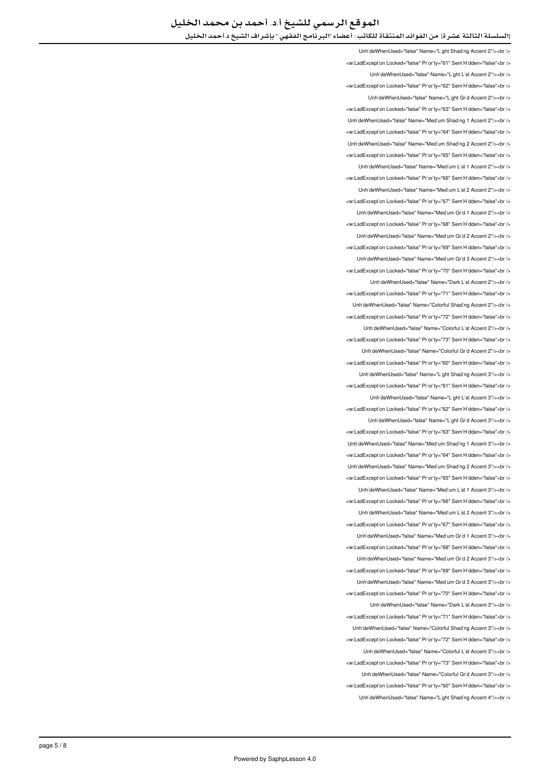UnhideWhenUsed="false" Name="Light Shading Accent 2"/><br /> <w:LsdException Locked="false" Priority="61" SemiHidden="false"<br/>child UnhideWhenUsed="false" Name="Light List Accent 2"/><br /> <w:LsdException Locked="false" Priority="62" SemiHidden="false"<br/>kor/> UnhideWhenUsed="false" Name="Light Grid Accent 2"/><br /> <w:LsdException Locked="false" Priority="63" SemiHidden="false"<br/>chri UnhideWhenUsed="false" Name="Medium Shading 1 Accent 2"/><ht /> <w:LsdException Locked="false" Priority="64" SemiHidden="false"<br/>>htion LinhideWhenLised="false" Name="Medium Shading 2 Accent 2"/s<hr /s <w:LsdException Locked="false" Priority="65" SemiHidden="false"<br /> UnhideWhenUsed="false" Name="Medium List 1 Accent 2"/><br /> <w:LsdException Locked="false" Priority="66" SemiHidden="false"<br /> UnhideWhenUsed="false" Name="Medium List 2 Accent 2"/><br /> <w:LsdExcept'on Locked="false" Pr'or'ty="67" Sem'H'dden="false"<br /> UnhideWhenUsed="false" Name="Medium Grid 1 Accent 2"/><br /> <w:LsdException Locked="false" Priority="68" SemiHidden="false"<br/>>ht/> Unh'deWhenUsed="false" Name="Med'um Gr'd 2 Accent 2"/><br /> <w:LsdException Locked="false" Priority="69" SemiHidden="false"<br/>>br/> Unh'deWhenUsed="false" Name="Med'um Gr'd 3 Accent 2"/><br /> will sdException Locked="false" Priority="70" SemiHidden="false">br UnhideWhenUsed="false" Name="Dark List Accent 2"/><br /> <w:LsdException Locked="false" Priority="71" SemiHidden="false"<br /> Unh'deWhenUsed="false" Name="Colorful Shading Accent 2"/><br /> <w:LsdException Locked="false" Priority="72" SemiHidden="false"<br/>>htion: UnhideWhenUsed="false" Name="Colorful List Accent 2"/><ht /> <w:LsdException Locked="false" Priority="73" SemiHidden="false"<br/>>ht/> UnhideWhenUsed="false" Name="Colorful Grid Accent 2"/><br /> <w:LsdException Locked="false" Priority="60" SemiHidden="false"<hr /s LinhideWhenUsed="false" Name="Light Shading Accent 3"/><br /> <w:LsdException Locked="false" Priority="61" SemiHidden="false"<br/>>htion: LinhideWhenUsed="false" Name="Light List Accent 3"/><hr /> <w:LsdExcept'on Locked="false" Priority="62" Sem'H'dden="false"<br /> UnhideWhenUsed="false" Name="Light Grid Accent 3"/><br /> <w:LsdExcept'on Locked="false" Priority="63" Sem'H'dden="false"<br /> LinhideWhenUsed="false" Name="Medium Shading 1 Accent 3"/><ht /> <w:LsdException Locked="false" Priority="64" SemiHidden="false"<br /> Unh'deWhenUsed="false" Name="Med'um Shad'ng 2 Accent 3"/><br /> <w:LsdException Locked="false" Priority="65" SemiHidden="false"<br/>chriden Unh'deWhenUsed="false" Name="Medium List 1 Accent 3"/><br/>>br /> <w:LsdException Locked="false" Priority="66" SemiHidden="false"<hr /> UnhideWhenUsed="false" Name="Medium List 2 Accent 3"/><br /> <w:LsdException Locked="false" Priority="67" SemiHidden="false"<br/>>htion: Unh'deWhenUsed="false" Name="Med'um Gr'd 1 Accent 3"/><br /> <w:LsdException Locked="false" Priority="68" SemiHidden="false"<br/>chriden Unh'deWhenUsed="false" Name="Med'um Gr'd 2 Accent 3"/><br /> <w:LsdException Locked="false" Priority="69" SemiHidden="false"<br/>>ht/> UnhideWhenUsed="false" Name="Medium Grid 3 Accent 3"/><br /> <w:LsdExcept'on Locked="false" Priority="70" Sem'H'dden="false"<br /> LinhideWhenHeed="false" Name="Dark List Accent 3"/s/hr /s <w:LsdException Locked="false" Priority="71" SemiHidden="false"<br /> Unh'deWhenUsed="false" Name="Colorful Shading Accent 3"/><br /> <w:LsdException Locked="false" Priority="72" SemiHidden="false"<br/>>ht/> UnhideWhenUsed="false" Name="Colorful List Accent 3"/><ht /> </w:LsdException Locked="false" Priority="73" SemiHidden="false"<br /> UnhideWhenUsed="false" Name="Colorful Grid Accent 3"/><br /> <w:LsdException Locked="false" Priority="60" SemiHidden="false"<br /> UnhideWhenUsed="false" Name="Light Shading Accent 4"/><br />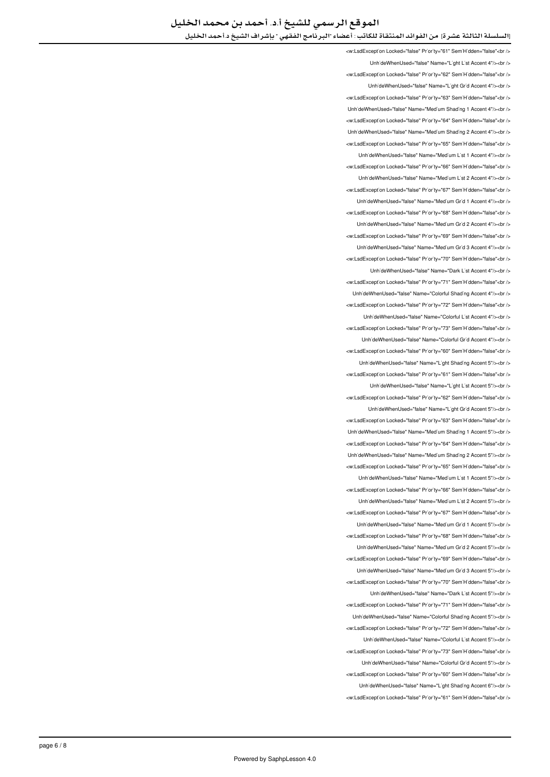<w:LsdException Locked="false" Priority="61" SemiHidden="false"<br /> Unh'deWhenUsed="false" Name="L'ght L'st Accent 4"/><br /> <w:LsdException Locked="false" Priority="62" SemiHidden="false"<br/>>ht/> UnhideWhenUsed="false" Name="Light Grid Accent 4"/><br /> <w:LsdExcept'on Locked="false" Priority="63" Sem'H'dden="false"<br /> LinhideWhenLised="false" Name="Medium Shading 1 Accent 4"/schr <w:LsdException Locked="false" Priority="64" SemiHidden="false"<br/>chriden Unh'deWhenUsed="false" Name="Med'um Shad'ng 2 Accent 4"/><br /> <w:LsdException Locked="false" Priority="65" SemiHidden="false"<hr /> UnhideWhenUsed="false" Name="Medium List 1 Accent 4"/><br /> <w:LsdException Locked="false" Priority="66" SemiHidden="false"<br/>check UnhideWhenUsed="false" Name="Medium List 2 Accent 4"/><br /> <w:LsdException Locked="false" Priority="67" SemiHidden="false"<br /> UnhideWhenUsed="false" Name="Medium Grid 1 Accent 4"/><br /> <w:LsdException Locked="false" Priority="68" SemiHidden="false"<br /> UnhideWhenUsed="false" Name="Medium Grid 2 Accent 4"/><br /> <w:LsdExcept'on Locked="false" Pr'or'ty="69" Sem'H'dden="false"<br /> Unh'deWhenUsed="false" Name="Med'um Gr'd 3 Accent 4"/><br /> <w:LsdException Locked="false" Priority="70" SemiHidden="false"<br /> LinhideWhenLised="false" Name="Dark List Accent 4"/szhr /s <w:LsdException Locked="false" Priority="71" SemiHidden="false"<br /> UnhideWhenUsed="false" Name="Colorful Shading Accent 4"/><br /> <w:LsdException Locked="false" Priority="72" SemiHidden="false"<br/>chi/> UnhideWhenUsed="false" Name="Colorful List Accent 4"/><br /> <w:LsdException Locked="false" Priority="73" SemiHidden="false"<br/>chi UnhideWhenUsed="false" Name="Colorful Grid Accent 4"/><br /> <w:LsdException Locked="false" Priority="60" SemiHidden="false"<br/>chi/> Unh'deWhenUsed="false" Name="L'ght Shading Accent 5"/><br /> <w:LsdException Locked="false" Priority="61" SemiHidden="false"<br/>chriden UnhideWhenUsed="false" Name="Light List Accent 5"/><br /> <w:LsdException Locked="false" Priority="62" SemiHidden="false"<hr /> Unh'deWhenUsed="false" Name="L'ght Gr'd Accent 5"/><br /> <w:LsdException Locked="false" Priority="63" SemiHidden="false"<br/>chi Unh'deWhenUsed="false" Name="Med'um Shading 1 Accent 5"/><br /> <w:LsdException Locked="false" Priority="64" SemiHidden="false"<br/>chriden Unh'deWhenUsed="false" Name="Med'um Shad'ng 2 Accent 5"/><br /> <w:LsdExcept'on Locked="false" Priority="65" Sem'H'dden="false"<br /> UnhideWhenUsed="false" Name="Medium List 1 Accent 5"/><ht /> <w:LsdException Locked="false" Priority="66" SemiHidden="false"<br/>kor/> LinhideWhenLised="false" Name="Medium List 2 Accent 5"/s<hr /s <w:LsdException Locked="false" Priority="67" SemiHidden="false"<br/>chriden LinhideWhenLised="false" Name="Medium Grid 1 Accent 5"/s<br/>chr <w:LsdException Locked="false" Priority="68" SemiHidden="false"<br /> UnhideWhenUsed="false" Name="Medium Grid 2 Accent 5"/><br /> <w:LsdException Locked="false" Priority="69" SemiHidden="false"<br/>cbr /> UnhideWhenUsed="false" Name="Medium Grid 3 Accent 5"/><br /> <w:LsdException Locked="false" Priority="70" SemiHidden="false"<br/>>htion: UnhideWhenUsed="false" Name="Dark List Accent 5"/><br /> will sdException Locked="false" Priority="71" SemiHidden="false" chr Unh'deWhenUsed="false" Name="Colorful Shad'ng Accent 5"/><br /> <w:LsdExcept'on Locked="false" Pr'or'ty="72" Sem'H'dden="false"<br /> UnhideWhenUsed="false" Name="Colorful List Accent 5"/><br/>>br /> <w:LsdException Locked="false" Priority="73" SemiHidden="false"<br/>chriden UnhideWhenUsed="false" Name="Colorful Grid Accent 5"/><br /> <w:LsdException Locked="false" Priority="60" SemiHidden="false"<br/>>ht/> Unh'deWhenUsed="false" Name="L'ght Shading Accent 6"/><br /> <w:LsdException Locked="false" Priority="61" SemiHidden="false"<br/>chr/s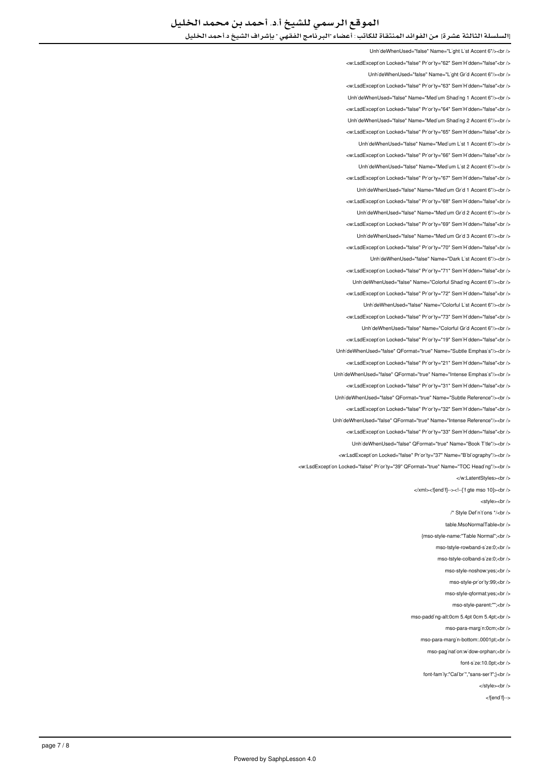UnhideWhenUsed="false" Name="Light List Accent 6"/><br /> <w:LsdException Locked="false" Priority="62" SemiHidden="false"<br/>child UnhideWhenUsed="false" Name="Light Grid Accent 6"/><br /> <w:LsdException Locked="false" Priority="63" SemiHidden="false"<br/>kor/> UnhideWhenUsed="false" Name="Medium Shading 1 Accent 6"/><br /> <w:LsdException Locked="false" Priority="64" SemiHidden="false"<br/>>ht/> LinhideWhenUsed="false" Name="Medium Shading 2 Accent 6"/><br /> <w:LsdException Locked="false" Priority="65" SemiHidden="false"<br/>kor/> LinhideWhenLised="false" Name="Medium List 1 Accent 6"/><hr /> <w:LsdException Locked="false" Priority="66" SemiHidden="false"<br /> UnhideWhenUsed="false" Name="Medium List 2 Accent 6"/><br /> <w:LsdException Locked="false" Priority="67" SemiHidden="false"<br /> UnhideWhenUsed="false" Name="Medium Grid 1 Accent 6"/><br /> <w:LsdExcept'on Locked="false" Pr'or'ty="68" Sem'H'dden="false"<br /> Unh'deWhenUsed="false" Name="Med'um Gr'd 2 Accent 6"/><br /> <w:LsdException Locked="false" Priority="69" SemiHidden="false"<br/>chriden Unh'deWhenUsed="false" Name="Med'um Gr'd 3 Accent 6"/><br /> <w:LsdException Locked="false" Priority="70" SemiHidden="false"<br/>>br/> UnhideWhenUsed="false" Name="Dark List Accent 6"/><br /> ∠w:LsdExcention Locked="false" Priority="71" SemiHidden="false"∠hr Unh'deWhenUsed="false" Name="Colorful Shading Accent 6"/><br /> <w:LsdException Locked="false" Priority="72" SemiHidden="false"<br /> Unh'deWhenUsed="false" Name="Colorful L'st Accent 6"/><br /> </w:LsdException Locked="false" Priority="73" SemiHidden="false"<br /> UnhideWhenUsed="false" Name="Colorful Grid Accent 6"/><br /> <w:LsdException Locked="false" Priority="19" SemiHidden="false"<br/>>ht/> Unh'deWhenUsed="false" QFormat="true" Name="Subtle Emphas's"/><br /> <w:LsdException Locked="false" Priority="21" SemiHidden="false"<br/>>ht/> Linh'deWhenLised="false" OFormat="true" Name="Intense Emphasis"/s<hr /s <w:LsdException Locked="false" Priority="31" SemiHidden="false"<br/>>htion: </ br></"Reference Subtle="Name" true="QFormat" false="UnhideWhenUsed <w:LsdException Locked="false" Priority="32" SemiHidden="false"<br /> UnhideWhenUsed="false" QFormat="true" Name="Intense Reference"/><br /> <w:LsdExcept'on Locked="false" Priority="33" Sem'H'dden="false"<br /> UnhideWhenUsed="false" QFormat="true" Name="Book Title"/><br /> <w:LsdException Locked="false" Priority="37" Name="Bibliography"/><br /> <w:LsdException Locked="false" Priority="39" QFormat="true" Name="TOC Heading"/><br /> </w:LatentStyles><br/></w </xml><![endif]--><!--['f gte mso 10]><br/>>br <style><br /> /\* Style Definitions \*/<br/>chr /> table MsoNormalTable<br/>chr {mso-style-name:"Table Normal";<br /> mso-tstyle-rowband-size:0:<br /> mso-tstyle-colband-s'ze:0;<br /> mso-style-noshow:yes;<br /> mso-style-priority:99;<br /> mso-style-aformat:ves:<br /> mso-style-narent:"";<hr /s mso-padding-alt:0cm 5.4pt 0cm 5.4pt;<br/>kor /> mso-para-margin:0cm;<br/>-> mso-para-marg'n-bottom:.0001pt;<br/>>br /> mso-pagination:widow-orphan:<br/>checks

font-s'ze:10.0pt;<br/><br/>br $/$ 

font-family:"Calibri","sans-serif":}<br/>brily-

</style><br/></br>

<lendifi-->